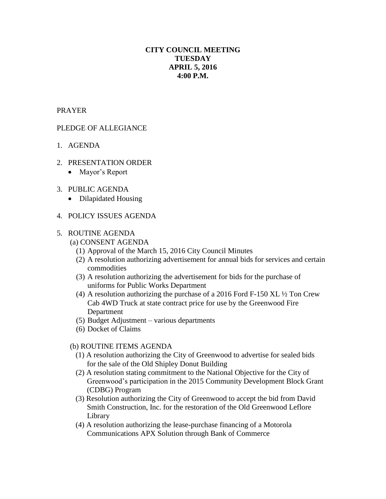# **CITY COUNCIL MEETING TUESDAY APRIL 5, 2016 4:00 P.M.**

## PRAYER

## PLEDGE OF ALLEGIANCE

- 1. AGENDA
- 2. PRESENTATION ORDER
	- Mayor's Report
- 3. PUBLIC AGENDA
	- Dilapidated Housing
- 4. POLICY ISSUES AGENDA

#### 5. ROUTINE AGENDA

- (a) CONSENT AGENDA
	- (1) Approval of the March 15, 2016 City Council Minutes
	- (2) A resolution authorizing advertisement for annual bids for services and certain commodities
	- (3) A resolution authorizing the advertisement for bids for the purchase of uniforms for Public Works Department
	- (4) A resolution authorizing the purchase of a 2016 Ford F-150 XL ½ Ton Crew Cab 4WD Truck at state contract price for use by the Greenwood Fire Department
	- (5) Budget Adjustment various departments
	- (6) Docket of Claims

#### (b) ROUTINE ITEMS AGENDA

- (1) A resolution authorizing the City of Greenwood to advertise for sealed bids for the sale of the Old Shipley Donut Building
- (2) A resolution stating commitment to the National Objective for the City of Greenwood's participation in the 2015 Community Development Block Grant (CDBG) Program
- (3) Resolution authorizing the City of Greenwood to accept the bid from David Smith Construction, Inc. for the restoration of the Old Greenwood Leflore Library
- (4) A resolution authorizing the lease-purchase financing of a Motorola Communications APX Solution through Bank of Commerce